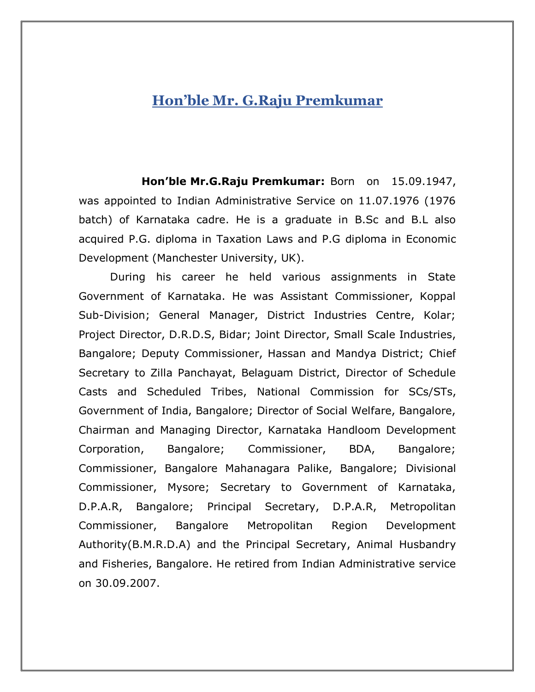## **Hon'ble Mr. G.Raju Premkumar**

**Hon'ble Mr.G.Raju Premkumar:** Born on 15.09.1947, was appointed to Indian Administrative Service on 11.07.1976 (1976 batch) of Karnataka cadre. He is a graduate in B.Sc and B.L also acquired P.G. diploma in Taxation Laws and P.G diploma in Economic Development (Manchester University, UK).

During his career he held various assignments in State Government of Karnataka. He was Assistant Commissioner, Koppal Sub-Division; General Manager, District Industries Centre, Kolar; Project Director, D.R.D.S, Bidar; Joint Director, Small Scale Industries, Bangalore; Deputy Commissioner, Hassan and Mandya District; Chief Secretary to Zilla Panchayat, Belaguam District, Director of Schedule Casts and Scheduled Tribes, National Commission for SCs/STs, Government of India, Bangalore; Director of Social Welfare, Bangalore, Chairman and Managing Director, Karnataka Handloom Development Corporation, Bangalore; Commissioner, BDA, Bangalore; Commissioner, Bangalore Mahanagara Palike, Bangalore; Divisional Commissioner, Mysore; Secretary to Government of Karnataka, D.P.A.R, Bangalore; Principal Secretary, D.P.A.R, Metropolitan Commissioner, Bangalore Metropolitan Region Development Authority(B.M.R.D.A) and the Principal Secretary, Animal Husbandry and Fisheries, Bangalore. He retired from Indian Administrative service on 30.09.2007.